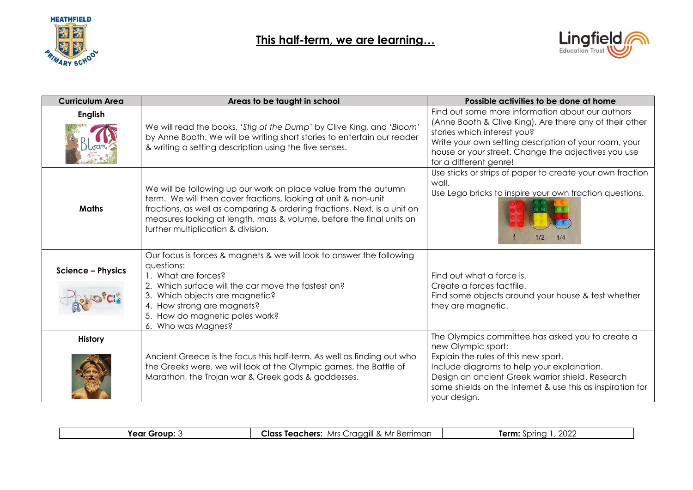

## **This half-term, we are learning…**



| <b>Curriculum Area</b>   | Areas to be taught in school                                                                                                                                                                                                                                                                                                | Possible activities to be done at home                                                                                                                                                                                                                                                         |
|--------------------------|-----------------------------------------------------------------------------------------------------------------------------------------------------------------------------------------------------------------------------------------------------------------------------------------------------------------------------|------------------------------------------------------------------------------------------------------------------------------------------------------------------------------------------------------------------------------------------------------------------------------------------------|
| <b>English</b>           | We will read the books, 'Stig of the Dump' by Clive King, and 'Bloom'<br>by Anne Booth. We will be writing short stories to entertain our reader<br>& writing a setting description using the five senses.                                                                                                                  | Find out some more information about our authors<br>(Anne Booth & Clive King). Are there any of their other<br>stories which interest you?<br>Write your own setting description of your room, your<br>house or your street. Change the adjectives you use<br>for a different genre!           |
| <b>Maths</b>             | We will be following up our work on place value from the autumn<br>term. We will then cover fractions, looking at unit & non-unit<br>fractions, as well as comparing & ordering fractions. Next, is a unit on<br>measures looking at length, mass & volume, before the final units on<br>further multiplication & division. | Use sticks or strips of paper to create your own fraction<br>wall.<br>Use Lego bricks to inspire your own fraction questions.<br>1/2<br>1/4                                                                                                                                                    |
| <b>Science - Physics</b> | Our focus is forces & magnets & we will look to answer the following<br>questions:<br>1. What are forces?<br>2. Which surface will the car move the fastest on?<br>Which objects are magnetic?<br>4. How strong are magnets?<br>How do magnetic poles work?<br>5.<br>6. Who was Magnes?                                     | Find out what a force is.<br>Create a forces factfile.<br>Find some objects around your house & test whether<br>they are magnetic.                                                                                                                                                             |
| <b>History</b>           | Ancient Greece is the focus this half-term. As well as finding out who<br>the Greeks were, we will look at the Olympic games, the Battle of<br>Marathon, the Trojan war & Greek gods & goddesses.                                                                                                                           | The Olympics committee has asked you to create a<br>new Olympic sport:<br>Explain the rules of this new sport.<br>Include diagrams to help your explanation.<br>Design an ancient Greek warrior shield. Research<br>some shields on the Internet & use this as inspiration for<br>your design. |

| יממי<br><sup>.</sup> Berriman<br><b>Class Teachers:</b><br>"ear \<br>Mr<br>fraaaill &<br>Mrs<br>Group:<br>Term.<br>nrinc.<br>ZUZ.<br>.<br>ごご |
|----------------------------------------------------------------------------------------------------------------------------------------------|
|----------------------------------------------------------------------------------------------------------------------------------------------|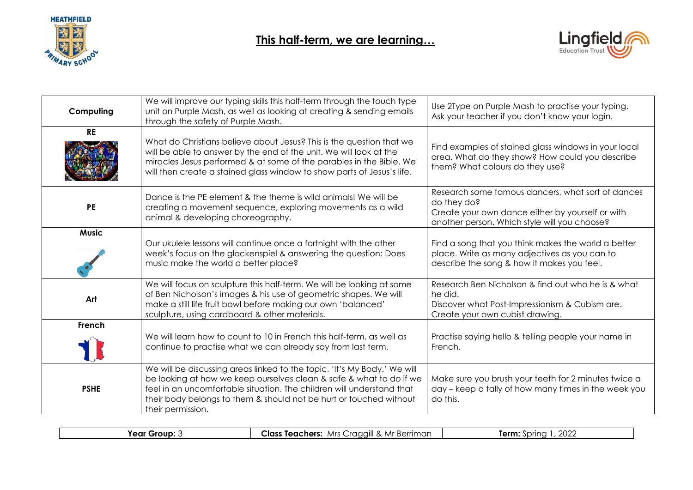



| Computing    | We will improve our typing skills this half-term through the touch type<br>unit on Purple Mash, as well as looking at creating & sending emails<br>through the safety of Purple Mash.                                                                                                                               | Use 2Type on Purple Mash to practise your typing.<br>Ask your teacher if you don't know your login.                                                                  |
|--------------|---------------------------------------------------------------------------------------------------------------------------------------------------------------------------------------------------------------------------------------------------------------------------------------------------------------------|----------------------------------------------------------------------------------------------------------------------------------------------------------------------|
| <b>RE</b>    | What do Christians believe about Jesus? This is the question that we<br>will be able to answer by the end of the unit. We will look at the<br>miracles Jesus performed & at some of the parables in the Bible. We<br>will then create a stained glass window to show parts of Jesus's life.                         | Find examples of stained glass windows in your local<br>area. What do they show? How could you describe<br>them? What colours do they use?                           |
| <b>PE</b>    | Dance is the PE element & the theme is wild animals! We will be<br>creating a movement sequence, exploring movements as a wild<br>animal & developing choreography.                                                                                                                                                 | Research some famous dancers, what sort of dances<br>do they do?<br>Create your own dance either by yourself or with<br>another person. Which style will you choose? |
| <b>Music</b> | Our ukulele lessons will continue once a fortnight with the other<br>week's focus on the glockenspiel & answering the question: Does<br>music make the world a better place?                                                                                                                                        | Find a song that you think makes the world a better<br>place. Write as many adjectives as you can to<br>describe the song & how it makes you feel.                   |
| Art          | We will focus on sculpture this half-term. We will be looking at some<br>of Ben Nicholson's images & his use of geometric shapes. We will<br>make a still life fruit bowl before making our own 'balanced'<br>sculpture, using cardboard & other materials.                                                         | Research Ben Nicholson & find out who he is & what<br>he did.<br>Discover what Post-Impressionism & Cubism are.<br>Create your own cubist drawing.                   |
| French       | We will learn how to count to 10 in French this half-term, as well as<br>continue to practise what we can already say from last term.                                                                                                                                                                               | Practise saying hello & telling people your name in<br>French.                                                                                                       |
| <b>PSHE</b>  | We will be discussing areas linked to the topic, 'It's My Body.' We will<br>be looking at how we keep ourselves clean & safe & what to do if we<br>feel in an uncomfortable situation. The children will understand that<br>their body belongs to them & should not be hurt or touched without<br>their permission. | Make sure you brush your teeth for 2 minutes twice a<br>day – keep a tally of how many times in the week you<br>do this.                                             |

| Year<br>Group' | ∴Mr P<br>Class<br>Mrs.<br>. Teachers:<br>Berriman<br>. Iraaaill<br>$\sim$ | $\sim$<br>Term:<br>$S$ nno<br>້∠∪∠⊷ |
|----------------|---------------------------------------------------------------------------|-------------------------------------|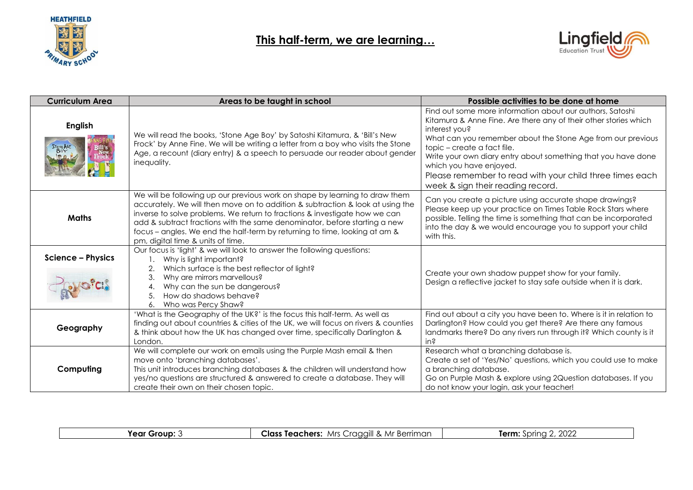

## **This half-term, we are learning…**



| <b>Curriculum Area</b>      | Areas to be taught in school                                                                                                                                                                                                                                                                                                                                                                                                                | Possible activities to be done at home                                                                                                                                                                                                                                                                                                                                                                                                    |
|-----------------------------|---------------------------------------------------------------------------------------------------------------------------------------------------------------------------------------------------------------------------------------------------------------------------------------------------------------------------------------------------------------------------------------------------------------------------------------------|-------------------------------------------------------------------------------------------------------------------------------------------------------------------------------------------------------------------------------------------------------------------------------------------------------------------------------------------------------------------------------------------------------------------------------------------|
| <b>English</b><br>STONE AGE | We will read the books, 'Stone Age Boy' by Satoshi Kitamura, & 'Bill's New<br>Frock' by Anne Fine. We will be writing a letter from a boy who visits the Stone<br>Age, a recount (diary entry) & a speech to persuade our reader about gender<br>inequality.                                                                                                                                                                                | Find out some more information about our authors, Satoshi<br>Kitamura & Anne Fine. Are there any of their other stories which<br>interest you?<br>What can you remember about the Stone Age from our previous<br>topic – create a fact file.<br>Write your own diary entry about something that you have done<br>which you have enjoyed.<br>Please remember to read with your child three times each<br>week & sign their reading record. |
| <b>Maths</b>                | We will be following up our previous work on shape by learning to draw them<br>accurately. We will then move on to addition & subtraction & look at using the<br>inverse to solve problems. We return to fractions & investigate how we can<br>add & subtract fractions with the same denominator, before starting a new<br>focus – angles. We end the half-term by returning to time, looking at am &<br>pm, digital time & units of time. | Can you create a picture using accurate shape drawings?<br>Please keep up your practice on Times Table Rock Stars where<br>possible. Telling the time is something that can be incorporated<br>into the day & we would encourage you to support your child<br>with this.                                                                                                                                                                  |
| <b>Science - Physics</b>    | Our focus is 'light' & we will look to answer the following questions:<br>Why is light important?<br>2.<br>Which surface is the best reflector of light?<br>3.<br>Why are mirrors marvellous?<br>Why can the sun be dangerous?<br>How do shadows behave?<br>5.<br>Who was Percy Shaw?<br>6.                                                                                                                                                 | Create your own shadow puppet show for your family.<br>Design a reflective jacket to stay safe outside when it is dark.                                                                                                                                                                                                                                                                                                                   |
| Geography                   | 'What is the Geography of the UK?' is the focus this half-term. As well as<br>finding out about countries & cities of the UK, we will focus on rivers & counties<br>& think about how the UK has changed over time, specifically Darlington &<br>London.                                                                                                                                                                                    | Find out about a city you have been to. Where is it in relation to<br>Darlington? How could you get there? Are there any famous<br>landmarks there? Do any rivers run through it? Which county is it<br>in <sup>2</sup>                                                                                                                                                                                                                   |
| Computing                   | We will complete our work on emails using the Purple Mash email & then<br>move onto 'branching databases'.<br>This unit introduces branching databases & the children will understand how<br>yes/no questions are structured & answered to create a database. They will<br>create their own on their chosen topic.                                                                                                                          | Research what a branching database is.<br>Create a set of 'Yes/No' questions, which you could use to make<br>a branching database.<br>Go on Purple Mash & explore using 2Question databases. If you<br>do not know your login, ask your teacher!                                                                                                                                                                                          |

| Year Group: 3 | Mrs Craggill & Mr Berriman<br>Class Teachers: | 2022<br>Term:<br>-Sprina 2 |
|---------------|-----------------------------------------------|----------------------------|
|               |                                               |                            |